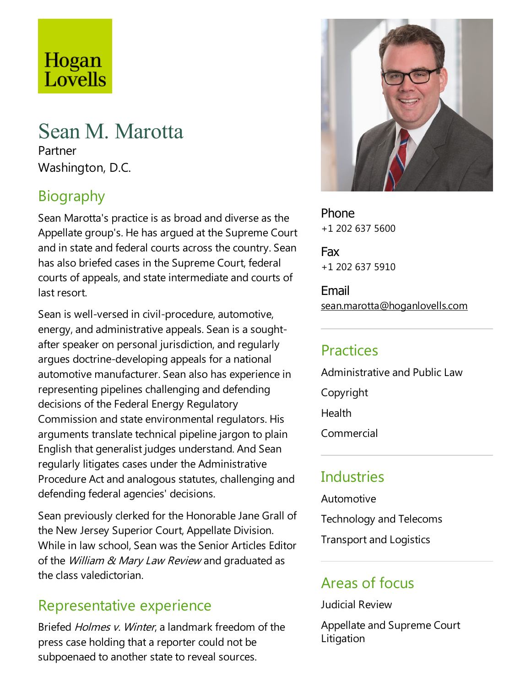# Hogan Lovells

## Sean M. Marotta

Partner Washington, D.C.

## Biography

Sean Marotta's practice is as broad and diverse as the Appellate group's. He has argued at the Supreme Court and in state and federal courts across the country. Sean has also briefed cases in the Supreme Court, federal courts of appeals, and state intermediate and courts of last resort.

Sean is well-versed in civil-procedure, automotive, energy, and administrative appeals. Sean is a soughtafter speaker on personal jurisdiction, and regularly argues doctrine-developing appeals for a national automotive manufacturer. Sean also has experience in representing pipelines challenging and defending decisions of the Federal Energy Regulatory Commission and state environmental regulators. His arguments translate technical pipeline jargon to plain English that generalist judges understand. And Sean regularly litigates cases under the Administrative Procedure Act and analogous statutes, challenging and defending federal agencies' decisions.

Sean previously clerked for the Honorable Jane Grall of the New Jersey Superior Court, Appellate Division. While in law school, Sean was the Senior Articles Editor of the William & Mary Law Review and graduated as the class valedictorian.

#### Representative experience

Briefed *Holmes v. Winter*, a landmark freedom of the press case holding that a reporter could not be subpoenaed to another state to reveal sources.



Phone +1 202 637 5600

Fax +1 202 637 5910

Email sean.marotta@hoganlovells.com

#### **Practices**

Administrative and Public Law Copyright **Health** Commercial

#### **Industries**

Automotive

Technology and Telecoms

**Transport and Logistics** 

#### Areas of focus

Judicial Review

Appellate and Supreme Court Litigation